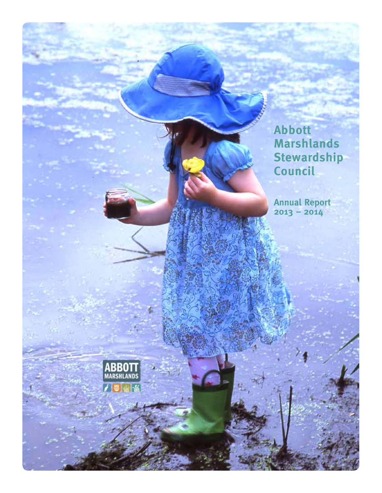

**Annual Report 2013 – 2014**



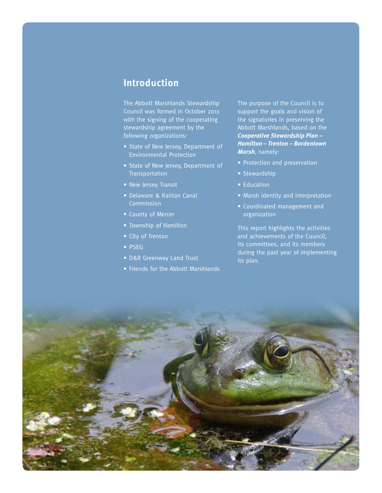### **Introduction**

The Abbott Marshlands Stewardship Council was formed in October 2011 with the signing of the cooperating stewardship agreement by the following organizations:

- State of New Jersey, Department of Environmental Protection
- State of New Jersey, Department of **Transportation**
- New Jersey Transit
- Delaware & Raritan Canal Commission
- County of Mercer
- Township of Hamilton
- City of Trenton
- PSEG
- D&R Greenway Land Trust
- Friends for the Abbott Marshlands

The purpose of the Council is to support the goals and vision of the signatories in preserving the Abbott Marshlands, based on the *Cooperative Stewardship Plan – Hamilton – Trenton – Bordentown Marsh*, namely:

- Protection and preservation
- Stewardship
- Education
- Marsh identity and interpretation
- Coordinated management and organization

This report highlights the activities and achievements of the Council, its committees, and its members during the past year of implementing its plan.

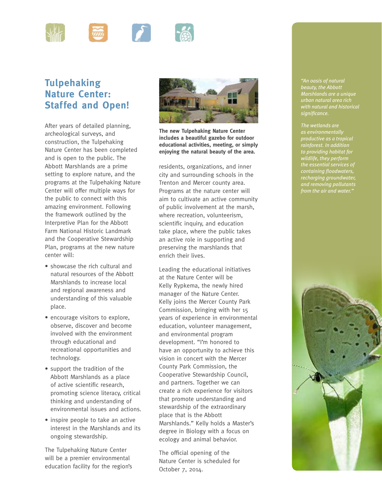

# **Tulpehaking Nature Center: Staffed and Open!**

After years of detailed planning, archeological surveys, and construction, the Tulpehaking Nature Center has been completed and is open to the public. The Abbott Marshlands are a prime setting to explore nature, and the programs at the Tulpehaking Nature Center will offer multiple ways for the public to connect with this amazing environment. Following the framework outlined by the Interpretive Plan for the Abbott Farm National Historic Landmark and the Cooperative Stewardship Plan, programs at the new nature center will:

- showcase the rich cultural and natural resources of the Abbott Marshlands to increase local and regional awareness and understanding of this valuable place.
- encourage visitors to explore, observe, discover and become involved with the environment through educational and recreational opportunities and technology.
- support the tradition of the Abbott Marshlands as a place of active scientific research, promoting science literacy, critical thinking and understanding of environmental issues and actions.
- inspire people to take an active interest in the Marshlands and its ongoing stewardship.

The Tulpehaking Nature Center will be a premier environmental education facility for the region's



**The new Tulpehaking Nature Center includes a beautiful gazebo for outdoor educational activities, meeting, or simply enjoying the natural beauty of the area.**

residents, organizations, and inner city and surrounding schools in the Trenton and Mercer county area. Programs at the nature center will aim to cultivate an active community of public involvement at the marsh, where recreation, volunteerism, scientific inquiry, and education take place, where the public takes an active role in supporting and preserving the marshlands that enrich their lives.

Leading the educational initiatives at the Nature Center will be Kelly Rypkema, the newly hired manager of the Nature Center. Kelly joins the Mercer County Park Commission, bringing with her 15 years of experience in environmental education, volunteer management, and environmental program development. "I'm honored to have an opportunity to achieve this vision in concert with the Mercer County Park Commission, the Cooperative Stewardship Council, and partners. Together we can create a rich experience for visitors that promote understanding and stewardship of the extraordinary place that is the Abbott Marshlands." Kelly holds a Master's degree in Biology with a focus on ecology and animal behavior.

The official opening of the Nature Center is scheduled for October 7, 2014.

*"An oasis of natural beauty, the Abbott Marshlands are a unique urban natural area rich with natural and historical significance.*

*as environmentally rainforest. In addition to providing habitat for wildlife, they perform the essential services of containing floodwaters, recharging groundwater, and removing pollutants from the air and water."*

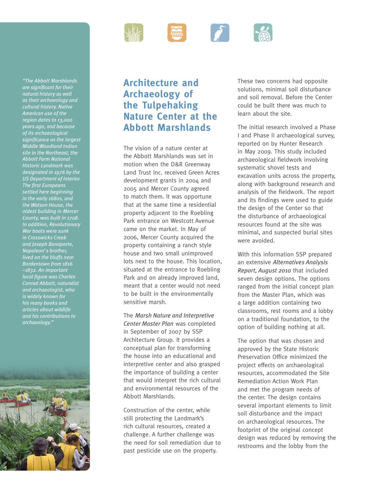

# **Architecture and Archaeology of the Tulpehaking Nature Center at the Abbott Marshlands**

The vision of a nature center at the Abbott Marshlands was set in motion when the D&R Greenway Land Trust Inc. received Green Acres development grants in 2004 and 2005 and Mercer County agreed to match them. It was opportune that at the same time a residential property adjacent to the Roebling Park entrance on Westcott Avenue came on the market. In May of 2006, Mercer County acquired the property containing a ranch style house and two small unimproved lots next to the house. This location, situated at the entrance to Roebling Park and on already improved land, meant that a center would not need to be built in the environmentally sensitive marsh.

The *Marsh Nature and Interpretive Center Master Plan* was completed in September of 2007 by SSP Architecture Group. It provides a conceptual plan for transforming the house into an educational and interpretive center and also grasped the importance of building a center that would interpret the rich cultural and environmental resources of the Abbott Marshlands.

Construction of the center, while still protecting the Landmark's rich cultural resources, created a challenge. A further challenge was the need for soil remediation due to past pesticide use on the property.

These two concerns had opposite solutions, minimal soil disturbance and soil removal. Before the Center could be built there was much to learn about the site.

The initial research involved a Phase I and Phase II archaeological survey, reported on by Hunter Research in May 2009. This study included archaeological fieldwork involving systematic shovel tests and excavation units across the property, along with background research and analysis of the fieldwork. The report and its findings were used to guide the design of the Center so that the disturbance of archaeological resources found at the site was minimal, and suspected burial sites were avoided.

With this information SSP prepared an extensive *Alternatives Analysis Report, August 2010* that included seven design options. The options ranged from the initial concept plan from the Master Plan, which was a large addition containing two classrooms, rest rooms and a lobby on a traditional foundation, to the option of building nothing at all.

The option that was chosen and approved by the State Historic Preservation Office minimized the project effects on archaeological resources, accommodated the Site Remediation Action Work Plan and met the program needs of the center. The design contains several important elements to limit soil disturbance and the impact on archaeological resources. The footprint of the original concept design was reduced by removing the restrooms and the lobby from the

*"The Abbott Marshlands are significant for their natural history as well as their archaeology and cultural history. Native American use of the region dates to 13,000 years ago, and because of its archaeological significance as the largest Middle Woodland Indian site in the Northeast, the Abbott Farm National Historic Landmark was designated in 1976 by the US Department of Interior. The first Europeans settled here beginning in the early 1680s, and the Watson House, the oldest building in Mercer County, was built in 1708. In addition, Revolutionary War boats were sunk in Crosswicks Creek and Joseph Bonaparte, Napoleon's brother, lived on the bluffs near Bordentown from 1816 –1832. An important local figure was Charles Conrad Abbott, naturalist and archaeologist, who is widely known for his many books and articles about wildlife and his contributions to archaeology."*

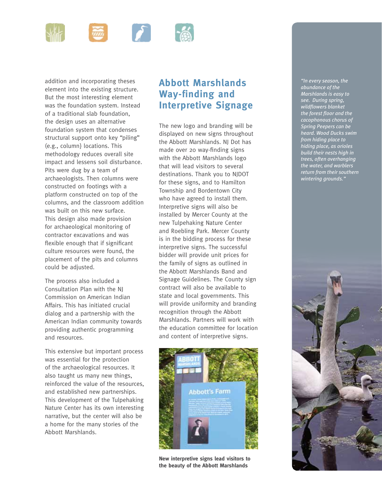

addition and incorporating theses element into the existing structure. But the most interesting element was the foundation system. Instead of a traditional slab foundation, the design uses an alternative foundation system that condenses structural support onto key "piling" (e.g., column} locations. This methodology reduces overall site impact and lessens soil disturbance. Pits were dug by a team of archaeologists. Then columns were constructed on footings with a platform constructed on top of the columns, and the classroom addition was built on this new surface. This design also made provision for archaeological monitoring of contractor excavations and was flexible enough that if significant culture resources were found, the placement of the pits and columns could be adjusted.

The process also included a Consultation Plan with the NJ Commission on American Indian Affairs. This has initiated crucial dialog and a partnership with the American Indian community towards providing authentic programming and resources.

This extensive but important process was essential for the protection of the archaeological resources. It also taught us many new things, reinforced the value of the resources, and established new partnerships. This development of the Tulpehaking Nature Center has its own interesting narrative, but the center will also be a home for the many stories of the Abbott Marshlands.

## **Abbott Marshlands Way-finding and Interpretive Signage**

The new logo and branding will be displayed on new signs throughout the Abbott Marshlands. NJ Dot has made over 20 way-finding signs with the Abbott Marshlands logo that will lead visitors to several destinations. Thank you to NJDOT for these signs, and to Hamilton Township and Bordentown City who have agreed to install them. Interpretive signs will also be installed by Mercer County at the new Tulpehaking Nature Center and Roebling Park. Mercer County is in the bidding process for these interpretive signs. The successful bidder will provide unit prices for the family of signs as outlined in the Abbott Marshlands Band and Signage Guidelines. The County sign contract will also be available to state and local governments. This will provide uniformity and branding recognition through the Abbott Marshlands. Partners will work with the education committee for location and content of interpretive signs.



**New interpretive signs lead visitors to the beauty of the Abbott Marshlands**

*"In every season, the abundance of the Marshlands is easy to see. During spring, wildflowers blanket the forest floor and the cacophonous chorus of Spring Peepers can be heard. Wood Ducks swim from hiding place to hiding place, as orioles build their nests high in trees, often overhanging the water, and warblers return from their southern wintering grounds."*

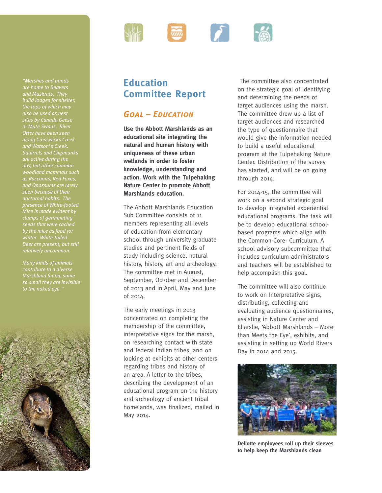

# **Education Committee Report**

### *Goal – Education*

**Use the Abbott Marshlands as an educational site integrating the natural and human history with uniqueness of these urban wetlands in order to foster knowledge, understanding and action. Work with the Tulpehaking Nature Center to promote Abbott Marshlands education.**

The Abbott Marshlands Education Sub Committee consists of 11 members representing all levels of education from elementary school through university graduate studies and pertinent fields of study including science, natural history, history, art and archeology. The committee met in August, September, October and December of 2013 and in April, May and June of 2014.

The early meetings in 2013 concentrated on completing the membership of the committee, interpretative signs for the marsh, on researching contact with state and federal Indian tribes, and on looking at exhibits at other centers regarding tribes and history of an area. A letter to the tribes, describing the development of an educational program on the history and archeology of ancient tribal homelands, was finalized, mailed in May 2014.

 The committee also concentrated on the strategic goal of Identifying and determining the needs of target audiences using the marsh. The committee drew up a list of target audiences and researched the type of questionnaire that would give the information needed to build a useful educational program at the Tulpehaking Nature Center. Distribution of the survey has started, and will be on going through 2014.

For 2014-15, the committee will work on a second strategic goal to develop integrated experiential educational programs. The task will be to develop educational schoolbased programs which align with the Common-Core- Curriculum. A school advisory subcommittee that includes curriculum administrators and teachers will be established to help accomplish this goal.

The committee will also continue to work on Interpretative signs, distributing, collecting and evaluating audience questionnaires, assisting in Nature Center and Ellarslie, 'Abbott Marshlands – More than Meets the Eye', exhibits, and assisting in setting up World Rivers Day in 2014 and 2015.



**Deliotte employees roll up their sleeves to help keep the Marshlands clean**

*"Marshes and ponds are home to Beavers and Muskrats. They build lodges for shelter, the tops of which may also be used as nest sites by Canada Geese or Mute Swans. River Otter have been seen along Crosswicks Creek and Watson's Creek. Squirrels and Chipmunks are active during the day, but other common woodland mammals such as Raccoons, Red Foxes, and Opossums are rarely seen because of their nocturnal habits. The presence of White-footed Mice is made evident by clumps of germinating by the mice as food for winter. White-tailed Deer are present, but still relatively uncommon.*

*Many kinds of animals Marshland fauna, some so small they are invisible*  to the naked eye.

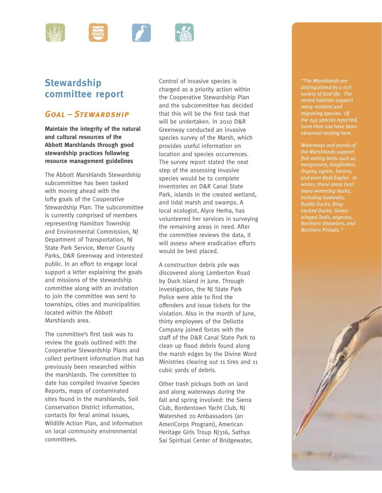

# **Stewardship committee report**

#### *Goal – Stewardship*

**Maintain the integrity of the natural and cultural resources of the Abbott Marshlands through good stewardship practices following resource management guidelines**

The Abbott Marshlands Stewardship subcommittee has been tasked with moving ahead with the lofty goals of the Cooperative Stewardship Plan. The subcommittee is currently comprised of members representing Hamilton Township and Environmental Commission, NJ Department of Transportation, NJ State Park Service, Mercer County Parks, D&R Greenway and interested public. In an effort to engage local support a letter explaining the goals and missions of the stewardship committee along with an invitation to join the committee was sent to townships, cities and municipalities located within the Abbott Marshlands area.

The committee's first task was to review the goals outlined with the Cooperative Stewardship Plans and collect pertinent information that has previously been researched within the marshlands. The committee to date has compiled Invasive Species Reports, maps of contaminated sites found in the marshlands, Soil Conservation District information, contacts for feral animal issues, Wildlife Action Plan, and information on local community environmental committees.

Control of invasive species is charged as a priority action within the Cooperative Stewardship Plan and the subcommittee has decided that this will be the first task that will be undertaken. In 2010 D&R Greenway conducted an invasive species survey of the Marsh, which provides useful information on location and species occurrences. The survey report stated the next step of the assessing invasive species would be to complete inventories on D&R Canal State Park, islands in the created wetland, and tidal marsh and swamps. A local ecologist, Alyce Herha, has volunteered her services in surveying the remaining areas in need. After the committee reviews the data, it will assess where eradication efforts would be best placed.

A construction debris pile was discovered along Lamberton Road by Duck Island in June. Through investigation, the NJ State Park Police were able to find the offenders and issue tickets for the violation. Also in the month of June, thirty employees of the Deliotte Company joined forces with the staff of the D&R Canal State Park to clean up flood debris found along the marsh edges by the Divine Word Ministries clearing out 11 tires and 11 cubic yards of debris.

Other trash pickups both on land and along waterways during the fall and spring involved: the Sierra Club, Bordentown Yacht Club, NJ Watershed 20 Ambassadors (an AmeriCorps Program), American Heritage Girls Troup NJ316, Sathya Sai Spiritual Center of Bridgewater,

*"The Marshlands are distinguished by a rich variety of bird life. The varied habitats support many resident and migrating species. Of the 245 species reported, more than 100 have been observed nesting here.*

*Waterways and ponds of the Marshlands support fish-eating birds such as mergansers, kingfishers, Osprey, egrets, herons, and even Bald Eagles. In many wintering ducks, including Gadwalls, Ruddy Ducks, Ringnecked Ducks, Green-Northern Pintails."*

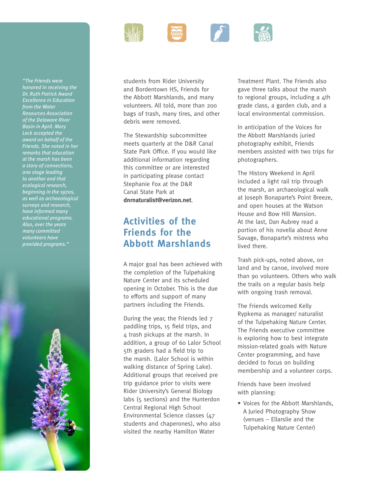

students from Rider University and Bordentown HS, Friends for the Abbott Marshlands, and many volunteers. All told, more than 200 bags of trash, many tires, and other debris were removed.

The Stewardship subcommittee meets quarterly at the D&R Canal State Park Office. If you would like additional information regarding this committee or are interested in participating please contact Stephanie Fox at the D&R Canal State Park at **dnrnaturalist@verizon.net**.

### **Activities of the Friends for the Abbott Marshlands**

A major goal has been achieved with the completion of the Tulpehaking Nature Center and its scheduled opening in October. This is the due to efforts and support of many partners including the Friends.

During the year, the Friends led 7 paddling trips, 15 field trips, and 4 trash pickups at the marsh. In addition, a group of 60 Lalor School 5th graders had a field trip to the marsh. (Lalor School is within walking distance of Spring Lake). Additional groups that received pre trip guidance prior to visits were Rider University's General Biology labs (5 sections) and the Hunterdon Central Regional High School Environmental Science classes (47 students and chaperones), who also visited the nearby Hamilton Water

Treatment Plant. The Friends also gave three talks about the marsh to regional groups, including a 4th grade class, a garden club, and a local environmental commission.

In anticipation of the Voices for the Abbott Marshlands juried photography exhibit, Friends members assisted with two trips for photographers.

The History Weekend in April included a light rail trip through the marsh, an archaeological walk at Joseph Bonaparte's Point Breeze, and open houses at the Watson House and Bow Hill Mansion. At the last, Dan Aubrey read a portion of his novella about Anne Savage, Bonaparte's mistress who lived there.

Trash pick-ups, noted above, on land and by canoe, involved more than 90 volunteers. Others who walk the trails on a regular basis help with ongoing trash removal.

The Friends welcomed Kelly Rypkema as manager/ naturalist of the Tulpehaking Nature Center. The Friends executive committee is exploring how to best integrate mission-related goals with Nature Center programming, and have decided to focus on building membership and a volunteer corps.

Friends have been involved with planning:

• Voices for the Abbott Marshlands, A Juried Photography Show (venues – Ellarslie and the Tulpehaking Nature Center)

*"The Friends were honored in receiving the Dr. Ruth Patrick Award Excellence in Education from the Water Resources Association of the Delaware River Basin in April. Mary Leck accepted the award on behalf of the Friends. She noted in her remarks that education at the marsh has been a story of connections, one stage leading to another and that ecological research, beginning in the 1970s, as well as archaeological surveys and research, have informed many educational programs. Also, over the years many committed volunteers have provided programs."*

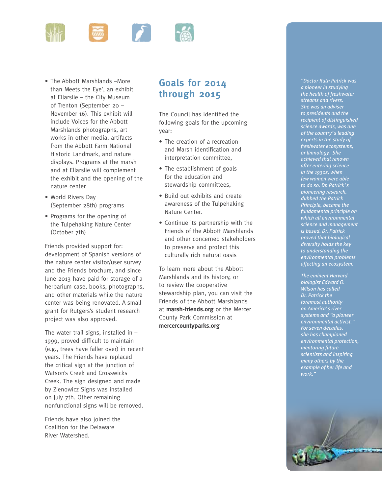

- The Abbott Marshlands –More than Meets the Eye', an exhibit at Ellarslie – the City Museum of Trenton (September 20 – November 16). This exhibit will include Voices for the Abbott Marshlands photographs, art works in other media, artifacts from the Abbott Farm National Historic Landmark, and nature displays. Programs at the marsh and at Ellarslie will complement the exhibit and the opening of the nature center.
- World Rivers Day (September 28th) programs
- Programs for the opening of the Tulpehaking Nature Center (October 7th)

Friends provided support for: development of Spanish versions of the nature center visitor/user survey and the Friends brochure, and since June 2013 have paid for storage of a herbarium case, books, photographs, and other materials while the nature center was being renovated. A small grant for Rutgers's student research project was also approved.

The water trail signs, installed in  $-$ 1999, proved difficult to maintain (e.g., trees have faller over) in recent years. The Friends have replaced the critical sign at the junction of Watson's Creek and Crosswicks Creek. The sign designed and made by Zienowicz Signs was installed on July 7th. Other remaining nonfunctional signs will be removed.

Friends have also joined the Coalition for the Delaware River Watershed.

### **Goals for 2014 through 2015**

The Council has identified the following goals for the upcoming year:

- The creation of a recreation and Marsh identification and interpretation committee,
- The establishment of goals for the education and stewardship committees,
- Build out exhibits and create awareness of the Tulpehaking Nature Center.
- Continue its partnership with the Friends of the Abbott Marshlands and other concerned stakeholders to preserve and protect this culturally rich natural oasis

To learn more about the Abbott Marshlands and its history, or to review the cooperative stewardship plan, you can visit the Friends of the Abbott Marshlands at **marsh-friends.org** or the Mercer County Park Commission at **mercercountyparks.org**

*"Doctor Ruth Patrick was a pioneer in studying the health of freshwater streams and rivers. She was an adviser to presidents and the recipient of distinguished science awards, was one of the country's leading experts in the study of freshwater ecosystems, or limnology. She achieved that renown after entering science in the 1930s, when few women were able to do so. Dr. Patrick's pioneering research, dubbed the Patrick Principle, became the fundamental principle on which all environmental science and management is based. Dr. Patrick proved that biological diversity holds the key to understanding the environmental problems affecting an ecosystem.* 

*The eminent Harvard biologist Edward O. Wilson has called Dr. Patrick the foremost authority on America's river systems and "a pioneer environmental activist." For seven decades, she has championed environmental protection, mentoring future scientists and inspiring many others by the example of her life and work."*